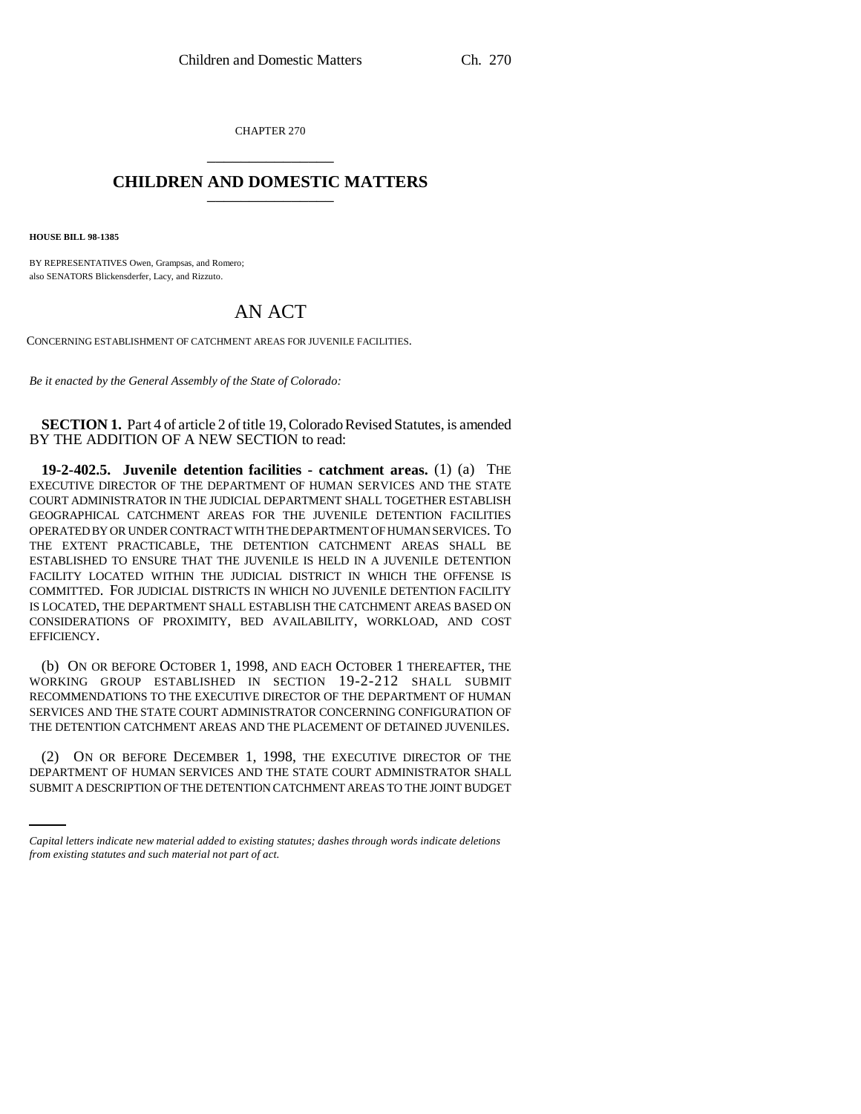CHAPTER 270 \_\_\_\_\_\_\_\_\_\_\_\_\_\_\_

## **CHILDREN AND DOMESTIC MATTERS** \_\_\_\_\_\_\_\_\_\_\_\_\_\_\_

**HOUSE BILL 98-1385**

BY REPRESENTATIVES Owen, Grampsas, and Romero; also SENATORS Blickensderfer, Lacy, and Rizzuto.

## AN ACT

CONCERNING ESTABLISHMENT OF CATCHMENT AREAS FOR JUVENILE FACILITIES.

*Be it enacted by the General Assembly of the State of Colorado:*

**SECTION 1.** Part 4 of article 2 of title 19, Colorado Revised Statutes, is amended BY THE ADDITION OF A NEW SECTION to read:

**19-2-402.5. Juvenile detention facilities - catchment areas.** (1) (a) THE EXECUTIVE DIRECTOR OF THE DEPARTMENT OF HUMAN SERVICES AND THE STATE COURT ADMINISTRATOR IN THE JUDICIAL DEPARTMENT SHALL TOGETHER ESTABLISH GEOGRAPHICAL CATCHMENT AREAS FOR THE JUVENILE DETENTION FACILITIES OPERATED BY OR UNDER CONTRACT WITH THE DEPARTMENT OF HUMAN SERVICES. TO THE EXTENT PRACTICABLE, THE DETENTION CATCHMENT AREAS SHALL BE ESTABLISHED TO ENSURE THAT THE JUVENILE IS HELD IN A JUVENILE DETENTION FACILITY LOCATED WITHIN THE JUDICIAL DISTRICT IN WHICH THE OFFENSE IS COMMITTED. FOR JUDICIAL DISTRICTS IN WHICH NO JUVENILE DETENTION FACILITY IS LOCATED, THE DEPARTMENT SHALL ESTABLISH THE CATCHMENT AREAS BASED ON CONSIDERATIONS OF PROXIMITY, BED AVAILABILITY, WORKLOAD, AND COST EFFICIENCY.

(b) ON OR BEFORE OCTOBER 1, 1998, AND EACH OCTOBER 1 THEREAFTER, THE WORKING GROUP ESTABLISHED IN SECTION 19-2-212 SHALL SUBMIT RECOMMENDATIONS TO THE EXECUTIVE DIRECTOR OF THE DEPARTMENT OF HUMAN SERVICES AND THE STATE COURT ADMINISTRATOR CONCERNING CONFIGURATION OF THE DETENTION CATCHMENT AREAS AND THE PLACEMENT OF DETAINED JUVENILES.

(2) ON OR BEFORE DECEMBER 1, 1998, THE EXECUTIVE DIRECTOR OF THE DEPARTMENT OF HUMAN SERVICES AND THE STATE COURT ADMINISTRATOR SHALL SUBMIT A DESCRIPTION OF THE DETENTION CATCHMENT AREAS TO THE JOINT BUDGET

*Capital letters indicate new material added to existing statutes; dashes through words indicate deletions from existing statutes and such material not part of act.*